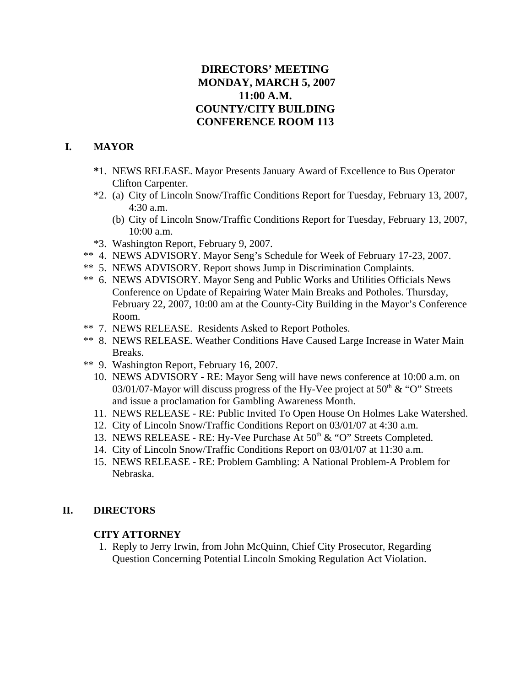# **DIRECTORS' MEETING MONDAY, MARCH 5, 2007 11:00 A.M. COUNTY/CITY BUILDING CONFERENCE ROOM 113**

# **I. MAYOR**

- **\***1. NEWS RELEASE. Mayor Presents January Award of Excellence to Bus Operator Clifton Carpenter.
- \*2. (a) City of Lincoln Snow/Traffic Conditions Report for Tuesday, February 13, 2007, 4:30 a.m.
	- (b) City of Lincoln Snow/Traffic Conditions Report for Tuesday, February 13, 2007, 10:00 a.m.
- \*3. Washington Report, February 9, 2007.
- \*\* 4. NEWS ADVISORY. Mayor Seng's Schedule for Week of February 17-23, 2007.
- \*\* 5. NEWS ADVISORY. Report shows Jump in Discrimination Complaints.
- \*\* 6. NEWS ADVISORY. Mayor Seng and Public Works and Utilities Officials News Conference on Update of Repairing Water Main Breaks and Potholes. Thursday, February 22, 2007, 10:00 am at the County-City Building in the Mayor's Conference Room.
- \*\* 7. NEWS RELEASE. Residents Asked to Report Potholes.
- \*\* 8. NEWS RELEASE. Weather Conditions Have Caused Large Increase in Water Main Breaks.
- \*\* 9. Washington Report, February 16, 2007.
	- 10. NEWS ADVISORY RE: Mayor Seng will have news conference at 10:00 a.m. on 03/01/07-Mayor will discuss progress of the Hy-Vee project at  $50<sup>th</sup> \& ^{\circ}$ °O" Streets and issue a proclamation for Gambling Awareness Month.
	- 11. NEWS RELEASE RE: Public Invited To Open House On Holmes Lake Watershed.
	- 12. City of Lincoln Snow/Traffic Conditions Report on 03/01/07 at 4:30 a.m.
	- 13. NEWS RELEASE RE: Hy-Vee Purchase At  $50<sup>th</sup> \& ^{\circ}$  "O" Streets Completed.
	- 14. City of Lincoln Snow/Traffic Conditions Report on 03/01/07 at 11:30 a.m.
	- 15. NEWS RELEASE RE: Problem Gambling: A National Problem-A Problem for Nebraska.

# **II. DIRECTORS**

### **CITY ATTORNEY**

 1. Reply to Jerry Irwin, from John McQuinn, Chief City Prosecutor, Regarding Question Concerning Potential Lincoln Smoking Regulation Act Violation.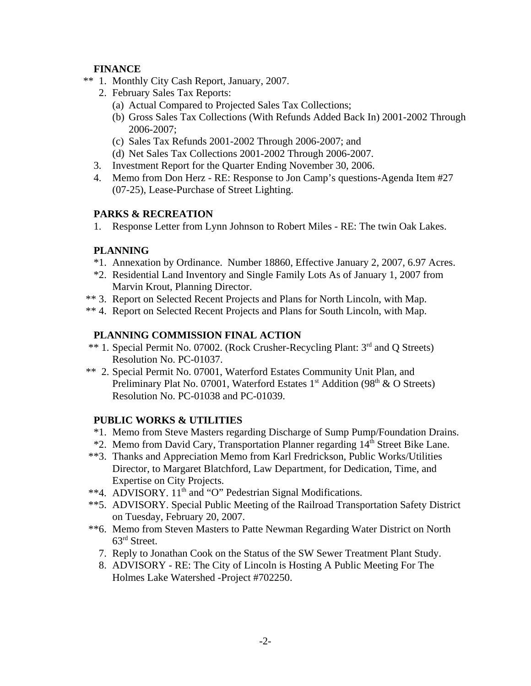# **FINANCE**

- \*\* 1. Monthly City Cash Report, January, 2007.
	- 2. February Sales Tax Reports:
		- (a) Actual Compared to Projected Sales Tax Collections;
		- (b) Gross Sales Tax Collections (With Refunds Added Back In) 2001-2002 Through 2006-2007;
		- (c) Sales Tax Refunds 2001-2002 Through 2006-2007; and
	- (d) Net Sales Tax Collections 2001-2002 Through 2006-2007.
	- 3. Investment Report for the Quarter Ending November 30, 2006.
	- 4. Memo from Don Herz RE: Response to Jon Camp's questions-Agenda Item #27 (07-25), Lease-Purchase of Street Lighting.

# **PARKS & RECREATION**

1. Response Letter from Lynn Johnson to Robert Miles - RE: The twin Oak Lakes.

# **PLANNING**

- \*1. Annexation by Ordinance. Number 18860, Effective January 2, 2007, 6.97 Acres.
- \*2. Residential Land Inventory and Single Family Lots As of January 1, 2007 from Marvin Krout, Planning Director.
- \*\* 3. Report on Selected Recent Projects and Plans for North Lincoln, with Map.
- \*\* 4. Report on Selected Recent Projects and Plans for South Lincoln, with Map.

# **PLANNING COMMISSION FINAL ACTION**

- \*\* 1. Special Permit No. 07002. (Rock Crusher-Recycling Plant: 3rd and Q Streets) Resolution No. PC-01037.
- \*\* 2. Special Permit No. 07001, Waterford Estates Community Unit Plan, and Preliminary Plat No. 07001, Waterford Estates  $1<sup>st</sup>$  Addition (98<sup>th</sup> & O Streets) Resolution No. PC-01038 and PC-01039.

# **PUBLIC WORKS & UTILITIES**

- \*1. Memo from Steve Masters regarding Discharge of Sump Pump/Foundation Drains.
- \*2. Memo from David Cary, Transportation Planner regarding 14<sup>th</sup> Street Bike Lane.
- \*\*3. Thanks and Appreciation Memo from Karl Fredrickson, Public Works/Utilities Director, to Margaret Blatchford, Law Department, for Dedication, Time, and Expertise on City Projects.
- \*\*4. ADVISORY. 11<sup>th</sup> and "O" Pedestrian Signal Modifications.
- \*\*5. ADVISORY. Special Public Meeting of the Railroad Transportation Safety District on Tuesday, February 20, 2007.
- \*\*6. Memo from Steven Masters to Patte Newman Regarding Water District on North 63rd Street.
	- 7. Reply to Jonathan Cook on the Status of the SW Sewer Treatment Plant Study.
	- 8. ADVISORY RE: The City of Lincoln is Hosting A Public Meeting For The Holmes Lake Watershed -Project #702250.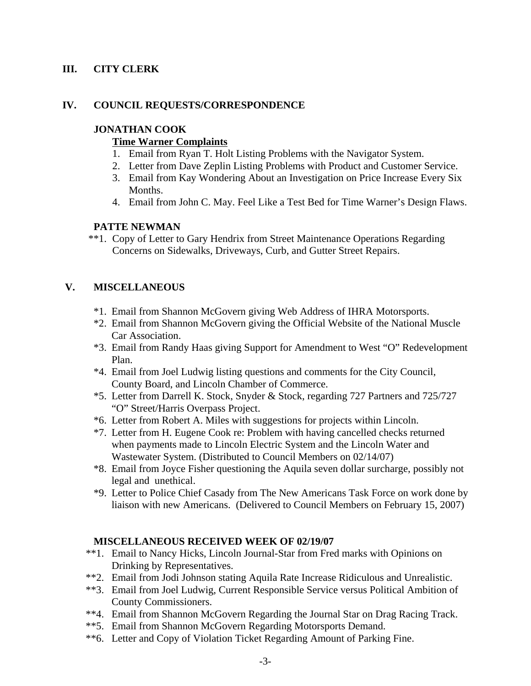# **III. CITY CLERK**

#### **IV. COUNCIL REQUESTS/CORRESPONDENCE**

#### **JONATHAN COOK**

#### **Time Warner Complaints**

- 1. Email from Ryan T. Holt Listing Problems with the Navigator System.
- 2. Letter from Dave Zeplin Listing Problems with Product and Customer Service.
- 3. Email from Kay Wondering About an Investigation on Price Increase Every Six Months.
- 4. Email from John C. May. Feel Like a Test Bed for Time Warner's Design Flaws.

#### **PATTE NEWMAN**

 \*\*1. Copy of Letter to Gary Hendrix from Street Maintenance Operations Regarding Concerns on Sidewalks, Driveways, Curb, and Gutter Street Repairs.

# **V. MISCELLANEOUS**

- \*1. Email from Shannon McGovern giving Web Address of IHRA Motorsports.
- \*2. Email from Shannon McGovern giving the Official Website of the National Muscle Car Association.
- \*3. Email from Randy Haas giving Support for Amendment to West "O" Redevelopment Plan.
- \*4. Email from Joel Ludwig listing questions and comments for the City Council, County Board, and Lincoln Chamber of Commerce.
- \*5. Letter from Darrell K. Stock, Snyder & Stock, regarding 727 Partners and 725/727 "O" Street/Harris Overpass Project.
- \*6. Letter from Robert A. Miles with suggestions for projects within Lincoln.
- \*7. Letter from H. Eugene Cook re: Problem with having cancelled checks returned when payments made to Lincoln Electric System and the Lincoln Water and Wastewater System. (Distributed to Council Members on 02/14/07)
- \*8. Email from Joyce Fisher questioning the Aquila seven dollar surcharge, possibly not legal and unethical.
- \*9. Letter to Police Chief Casady from The New Americans Task Force on work done by liaison with new Americans. (Delivered to Council Members on February 15, 2007)

### **MISCELLANEOUS RECEIVED WEEK OF 02/19/07**

- \*\*1. Email to Nancy Hicks, Lincoln Journal-Star from Fred marks with Opinions on Drinking by Representatives.
- \*\*2. Email from Jodi Johnson stating Aquila Rate Increase Ridiculous and Unrealistic.
- \*\*3. Email from Joel Ludwig, Current Responsible Service versus Political Ambition of County Commissioners.
- \*\*4. Email from Shannon McGovern Regarding the Journal Star on Drag Racing Track.
- \*\*5. Email from Shannon McGovern Regarding Motorsports Demand.
- \*\*6. Letter and Copy of Violation Ticket Regarding Amount of Parking Fine.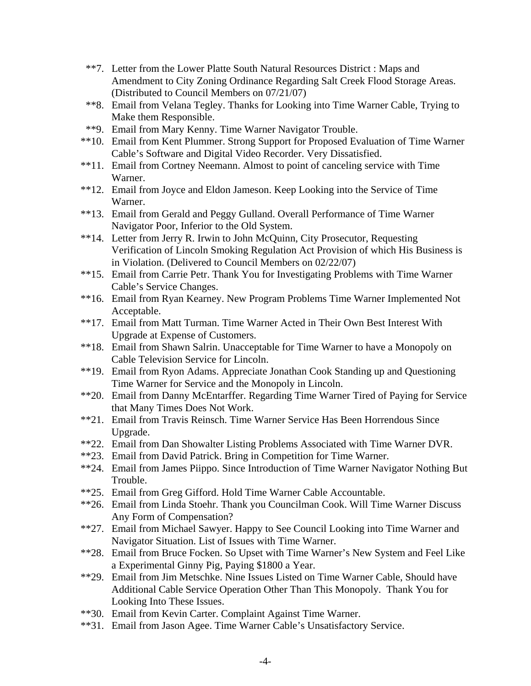- \*\*7. Letter from the Lower Platte South Natural Resources District : Maps and Amendment to City Zoning Ordinance Regarding Salt Creek Flood Storage Areas. (Distributed to Council Members on 07/21/07)
- \*\*8. Email from Velana Tegley. Thanks for Looking into Time Warner Cable, Trying to Make them Responsible.
- \*\*9. Email from Mary Kenny. Time Warner Navigator Trouble.
- \*\*10. Email from Kent Plummer. Strong Support for Proposed Evaluation of Time Warner Cable's Software and Digital Video Recorder. Very Dissatisfied.
- \*\*11. Email from Cortney Neemann. Almost to point of canceling service with Time Warner.
- \*\*12. Email from Joyce and Eldon Jameson. Keep Looking into the Service of Time Warner.
- \*\*13. Email from Gerald and Peggy Gulland. Overall Performance of Time Warner Navigator Poor, Inferior to the Old System.
- \*\*14. Letter from Jerry R. Irwin to John McQuinn, City Prosecutor, Requesting Verification of Lincoln Smoking Regulation Act Provision of which His Business is in Violation. (Delivered to Council Members on 02/22/07)
- \*\*15. Email from Carrie Petr. Thank You for Investigating Problems with Time Warner Cable's Service Changes.
- \*\*16. Email from Ryan Kearney. New Program Problems Time Warner Implemented Not Acceptable.
- \*\*17. Email from Matt Turman. Time Warner Acted in Their Own Best Interest With Upgrade at Expense of Customers.
- \*\*18. Email from Shawn Salrin. Unacceptable for Time Warner to have a Monopoly on Cable Television Service for Lincoln.
- \*\*19. Email from Ryon Adams. Appreciate Jonathan Cook Standing up and Questioning Time Warner for Service and the Monopoly in Lincoln.
- \*\*20. Email from Danny McEntarffer. Regarding Time Warner Tired of Paying for Service that Many Times Does Not Work.
- \*\*21. Email from Travis Reinsch. Time Warner Service Has Been Horrendous Since Upgrade.
- \*\*22. Email from Dan Showalter Listing Problems Associated with Time Warner DVR.
- \*\*23. Email from David Patrick. Bring in Competition for Time Warner.
- \*\*24. Email from James Piippo. Since Introduction of Time Warner Navigator Nothing But Trouble.
- \*\*25. Email from Greg Gifford. Hold Time Warner Cable Accountable.
- \*\*26. Email from Linda Stoehr. Thank you Councilman Cook. Will Time Warner Discuss Any Form of Compensation?
- \*\*27. Email from Michael Sawyer. Happy to See Council Looking into Time Warner and Navigator Situation. List of Issues with Time Warner.
- \*\*28. Email from Bruce Focken. So Upset with Time Warner's New System and Feel Like a Experimental Ginny Pig, Paying \$1800 a Year.
- \*\*29. Email from Jim Metschke. Nine Issues Listed on Time Warner Cable, Should have Additional Cable Service Operation Other Than This Monopoly. Thank You for Looking Into These Issues.
- \*\*30. Email from Kevin Carter. Complaint Against Time Warner.
- \*\*31. Email from Jason Agee. Time Warner Cable's Unsatisfactory Service.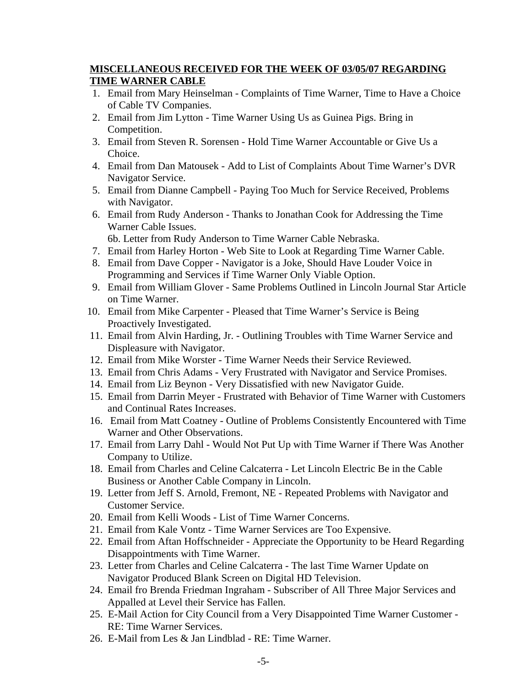# **MISCELLANEOUS RECEIVED FOR THE WEEK OF 03/05/07 REGARDING TIME WARNER CABLE**

- 1. Email from Mary Heinselman Complaints of Time Warner, Time to Have a Choice of Cable TV Companies.
- 2. Email from Jim Lytton Time Warner Using Us as Guinea Pigs. Bring in Competition.
- 3. Email from Steven R. Sorensen Hold Time Warner Accountable or Give Us a Choice.
- 4. Email from Dan Matousek Add to List of Complaints About Time Warner's DVR Navigator Service.
- 5. Email from Dianne Campbell Paying Too Much for Service Received, Problems with Navigator.
- 6. Email from Rudy Anderson Thanks to Jonathan Cook for Addressing the Time Warner Cable Issues.

6b. Letter from Rudy Anderson to Time Warner Cable Nebraska.

- 7. Email from Harley Horton Web Site to Look at Regarding Time Warner Cable.
- 8. Email from Dave Copper Navigator is a Joke, Should Have Louder Voice in Programming and Services if Time Warner Only Viable Option.
- 9. Email from William Glover Same Problems Outlined in Lincoln Journal Star Article on Time Warner.
- 10. Email from Mike Carpenter Pleased that Time Warner's Service is Being Proactively Investigated.
- 11. Email from Alvin Harding, Jr. Outlining Troubles with Time Warner Service and Displeasure with Navigator.
- 12. Email from Mike Worster Time Warner Needs their Service Reviewed.
- 13. Email from Chris Adams Very Frustrated with Navigator and Service Promises.
- 14. Email from Liz Beynon Very Dissatisfied with new Navigator Guide.
- 15. Email from Darrin Meyer Frustrated with Behavior of Time Warner with Customers and Continual Rates Increases.
- 16. Email from Matt Coatney Outline of Problems Consistently Encountered with Time Warner and Other Observations.
- 17. Email from Larry Dahl Would Not Put Up with Time Warner if There Was Another Company to Utilize.
- 18. Email from Charles and Celine Calcaterra Let Lincoln Electric Be in the Cable Business or Another Cable Company in Lincoln.
- 19. Letter from Jeff S. Arnold, Fremont, NE Repeated Problems with Navigator and Customer Service.
- 20. Email from Kelli Woods List of Time Warner Concerns.
- 21. Email from Kale Vontz Time Warner Services are Too Expensive.
- 22. Email from Aftan Hoffschneider Appreciate the Opportunity to be Heard Regarding Disappointments with Time Warner.
- 23. Letter from Charles and Celine Calcaterra The last Time Warner Update on Navigator Produced Blank Screen on Digital HD Television.
- 24. Email fro Brenda Friedman Ingraham Subscriber of All Three Major Services and Appalled at Level their Service has Fallen.
- 25. E-Mail Action for City Council from a Very Disappointed Time Warner Customer RE: Time Warner Services.
- 26. E-Mail from Les & Jan Lindblad RE: Time Warner.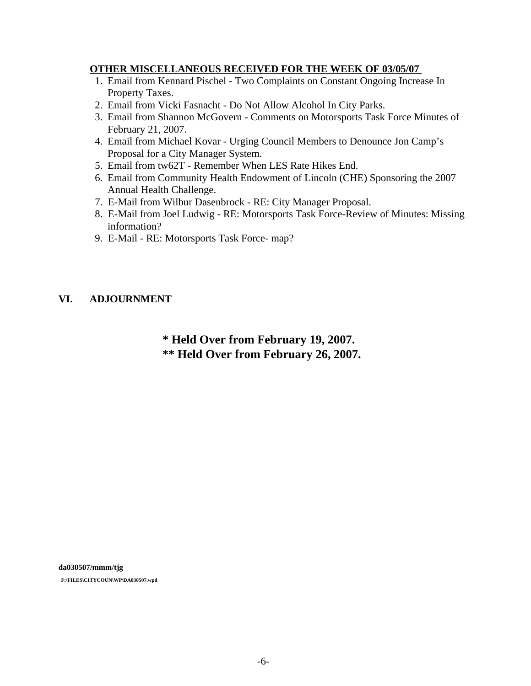### **OTHER MISCELLANEOUS RECEIVED FOR THE WEEK OF 03/05/07**

- 1. Email from Kennard Pischel Two Complaints on Constant Ongoing Increase In Property Taxes.
- 2. Email from Vicki Fasnacht Do Not Allow Alcohol In City Parks.
- 3. Email from Shannon McGovern Comments on Motorsports Task Force Minutes of February 21, 2007.
- 4. Email from Michael Kovar Urging Council Members to Denounce Jon Camp's Proposal for a City Manager System.
- 5. Email from tw62T Remember When LES Rate Hikes End.
- 6. Email from Community Health Endowment of Lincoln (CHE) Sponsoring the 2007 Annual Health Challenge.
- 7. E-Mail from Wilbur Dasenbrock RE: City Manager Proposal.
- 8. E-Mail from Joel Ludwig RE: Motorsports Task Force-Review of Minutes: Missing information?
- 9. E-Mail RE: Motorsports Task Force- map?

### **VI. ADJOURNMENT**

# **\* Held Over from February 19, 2007. \*\* Held Over from February 26, 2007.**

**da030507/mmm/tjg F:\FILES\CITYCOUN\WP\DA030507.wpd**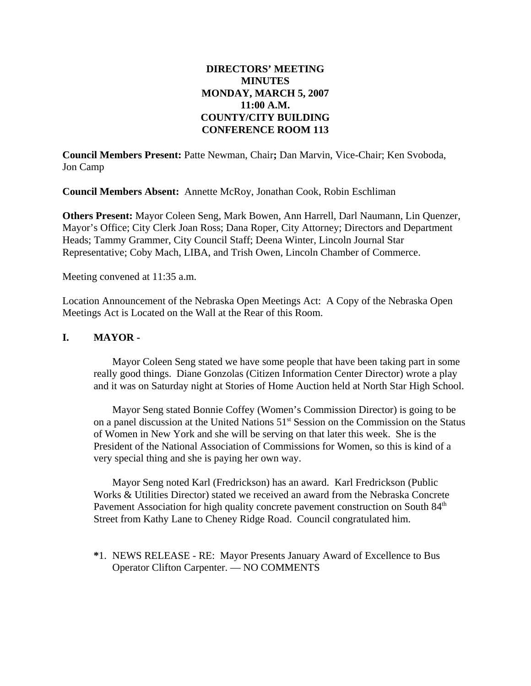# **DIRECTORS' MEETING MINUTES MONDAY, MARCH 5, 2007 11:00 A.M. COUNTY/CITY BUILDING CONFERENCE ROOM 113**

**Council Members Present:** Patte Newman, Chair**;** Dan Marvin, Vice-Chair; Ken Svoboda, Jon Camp

**Council Members Absent:** Annette McRoy, Jonathan Cook, Robin Eschliman

**Others Present:** Mayor Coleen Seng, Mark Bowen, Ann Harrell, Darl Naumann, Lin Quenzer, Mayor's Office; City Clerk Joan Ross; Dana Roper, City Attorney; Directors and Department Heads; Tammy Grammer, City Council Staff; Deena Winter, Lincoln Journal Star Representative; Coby Mach, LIBA, and Trish Owen, Lincoln Chamber of Commerce.

Meeting convened at 11:35 a.m.

Location Announcement of the Nebraska Open Meetings Act: A Copy of the Nebraska Open Meetings Act is Located on the Wall at the Rear of this Room.

### **I. MAYOR -**

Mayor Coleen Seng stated we have some people that have been taking part in some really good things. Diane Gonzolas (Citizen Information Center Director) wrote a play and it was on Saturday night at Stories of Home Auction held at North Star High School.

Mayor Seng stated Bonnie Coffey (Women's Commission Director) is going to be on a panel discussion at the United Nations 51<sup>st</sup> Session on the Commission on the Status of Women in New York and she will be serving on that later this week. She is the President of the National Association of Commissions for Women, so this is kind of a very special thing and she is paying her own way.

Mayor Seng noted Karl (Fredrickson) has an award. Karl Fredrickson (Public Works & Utilities Director) stated we received an award from the Nebraska Concrete Pavement Association for high quality concrete pavement construction on South  $84<sup>th</sup>$ Street from Kathy Lane to Cheney Ridge Road. Council congratulated him.

**\***1. NEWS RELEASE - RE: Mayor Presents January Award of Excellence to Bus Operator Clifton Carpenter. — NO COMMENTS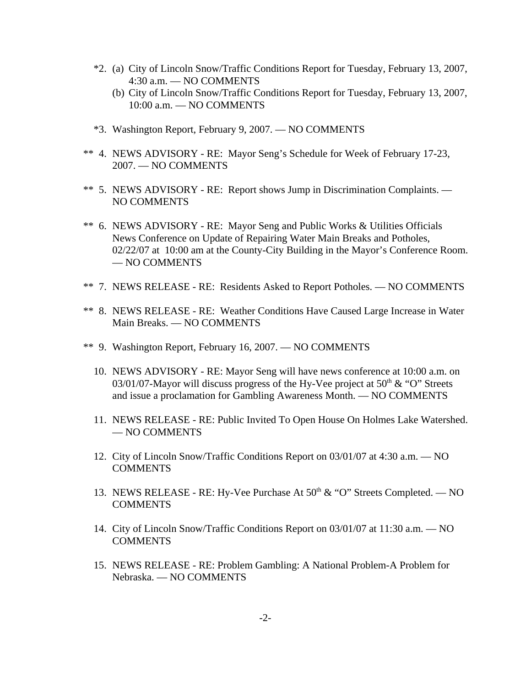- \*2. (a) City of Lincoln Snow/Traffic Conditions Report for Tuesday, February 13, 2007, 4:30 a.m. — NO COMMENTS
	- (b) City of Lincoln Snow/Traffic Conditions Report for Tuesday, February 13, 2007, 10:00 a.m. — NO COMMENTS
- \*3. Washington Report, February 9, 2007. NO COMMENTS
- \*\* 4. NEWS ADVISORY RE: Mayor Seng's Schedule for Week of February 17-23, 2007. — NO COMMENTS
- \*\* 5. NEWS ADVISORY RE: Report shows Jump in Discrimination Complaints. NO COMMENTS
- \*\* 6. NEWS ADVISORY RE: Mayor Seng and Public Works & Utilities Officials News Conference on Update of Repairing Water Main Breaks and Potholes, 02/22/07 at 10:00 am at the County-City Building in the Mayor's Conference Room. — NO COMMENTS
- \*\* 7. NEWS RELEASE RE: Residents Asked to Report Potholes. NO COMMENTS
- \*\* 8. NEWS RELEASE RE: Weather Conditions Have Caused Large Increase in Water Main Breaks. — NO COMMENTS
- \*\* 9. Washington Report, February 16, 2007. NO COMMENTS
	- 10. NEWS ADVISORY RE: Mayor Seng will have news conference at 10:00 a.m. on 03/01/07-Mayor will discuss progress of the Hy-Vee project at  $50<sup>th</sup> \& ^{\circ}$ °O'' Streets and issue a proclamation for Gambling Awareness Month. — NO COMMENTS
	- 11. NEWS RELEASE RE: Public Invited To Open House On Holmes Lake Watershed. — NO COMMENTS
	- 12. City of Lincoln Snow/Traffic Conditions Report on 03/01/07 at 4:30 a.m. NO **COMMENTS**
	- 13. NEWS RELEASE RE: Hy-Vee Purchase At  $50<sup>th</sup>$  & "O" Streets Completed. NO **COMMENTS**
	- 14. City of Lincoln Snow/Traffic Conditions Report on 03/01/07 at 11:30 a.m. NO **COMMENTS**
	- 15. NEWS RELEASE RE: Problem Gambling: A National Problem-A Problem for Nebraska. — NO COMMENTS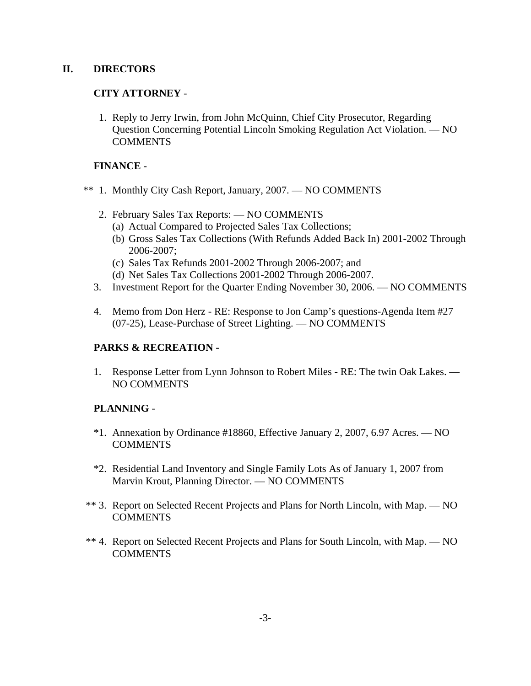# **II. DIRECTORS**

# **CITY ATTORNEY** -

 1. Reply to Jerry Irwin, from John McQuinn, Chief City Prosecutor, Regarding Question Concerning Potential Lincoln Smoking Regulation Act Violation. — NO **COMMENTS** 

## **FINANCE** -

- \*\* 1. Monthly City Cash Report, January, 2007. NO COMMENTS
	- 2. February Sales Tax Reports: NO COMMENTS
		- (a) Actual Compared to Projected Sales Tax Collections;
		- (b) Gross Sales Tax Collections (With Refunds Added Back In) 2001-2002 Through 2006-2007;
		- (c) Sales Tax Refunds 2001-2002 Through 2006-2007; and
		- (d) Net Sales Tax Collections 2001-2002 Through 2006-2007.
	- 3. Investment Report for the Quarter Ending November 30, 2006. NO COMMENTS
	- 4. Memo from Don Herz RE: Response to Jon Camp's questions-Agenda Item #27 (07-25), Lease-Purchase of Street Lighting. — NO COMMENTS

# **PARKS & RECREATION -**

1. Response Letter from Lynn Johnson to Robert Miles - RE: The twin Oak Lakes. — NO COMMENTS

# **PLANNING** -

- \*1. Annexation by Ordinance #18860, Effective January 2, 2007, 6.97 Acres. NO **COMMENTS**
- \*2. Residential Land Inventory and Single Family Lots As of January 1, 2007 from Marvin Krout, Planning Director. — NO COMMENTS
- \*\* 3. Report on Selected Recent Projects and Plans for North Lincoln, with Map. NO COMMENTS
- \*\* 4. Report on Selected Recent Projects and Plans for South Lincoln, with Map. NO **COMMENTS**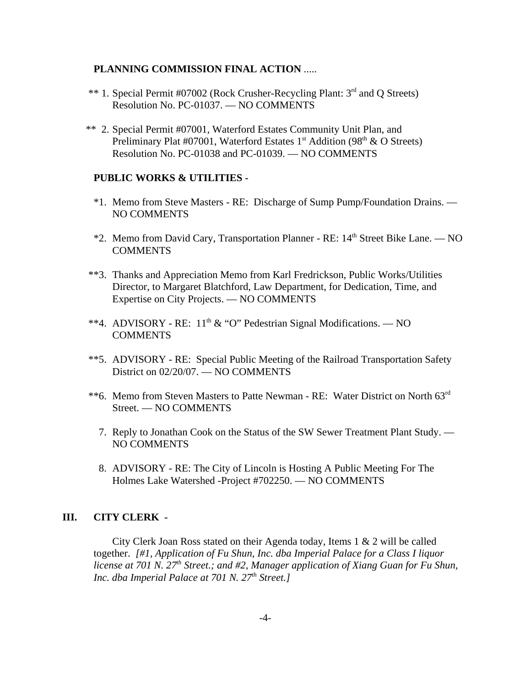#### **PLANNING COMMISSION FINAL ACTION** .....

- \*\* 1. Special Permit #07002 (Rock Crusher-Recycling Plant: 3rd and Q Streets) Resolution No. PC-01037. — NO COMMENTS
- \*\* 2. Special Permit #07001, Waterford Estates Community Unit Plan, and Preliminary Plat #07001, Waterford Estates  $1<sup>st</sup>$  Addition (98<sup>th</sup> & O Streets) Resolution No. PC-01038 and PC-01039. — NO COMMENTS

#### **PUBLIC WORKS & UTILITIES -**

- \*1. Memo from Steve Masters RE: Discharge of Sump Pump/Foundation Drains. NO COMMENTS
- $*2$ . Memo from David Cary, Transportation Planner RE:  $14<sup>th</sup>$  Street Bike Lane. NO COMMENTS
- \*\*3. Thanks and Appreciation Memo from Karl Fredrickson, Public Works/Utilities Director, to Margaret Blatchford, Law Department, for Dedication, Time, and Expertise on City Projects. — NO COMMENTS
- \*\*4. ADVISORY RE:  $11<sup>th</sup>$  & "O" Pedestrian Signal Modifications. NO COMMENTS
- \*\*5. ADVISORY RE: Special Public Meeting of the Railroad Transportation Safety District on 02/20/07. — NO COMMENTS
- \*\*6. Memo from Steven Masters to Patte Newman RE: Water District on North 63rd Street. — NO COMMENTS
	- 7. Reply to Jonathan Cook on the Status of the SW Sewer Treatment Plant Study. NO COMMENTS
	- 8. ADVISORY RE: The City of Lincoln is Hosting A Public Meeting For The Holmes Lake Watershed -Project #702250. — NO COMMENTS

## **III. CITY CLERK -**

City Clerk Joan Ross stated on their Agenda today, Items  $1 \& 2$  will be called together. *[#1, Application of Fu Shun, Inc. dba Imperial Palace for a Class I liquor license at 701 N. 27<sup>th</sup> Street.; and #2, Manager application of Xiang Guan for Fu Shun, Inc. dba Imperial Palace at 701 N. 27<sup>th</sup> Street.]*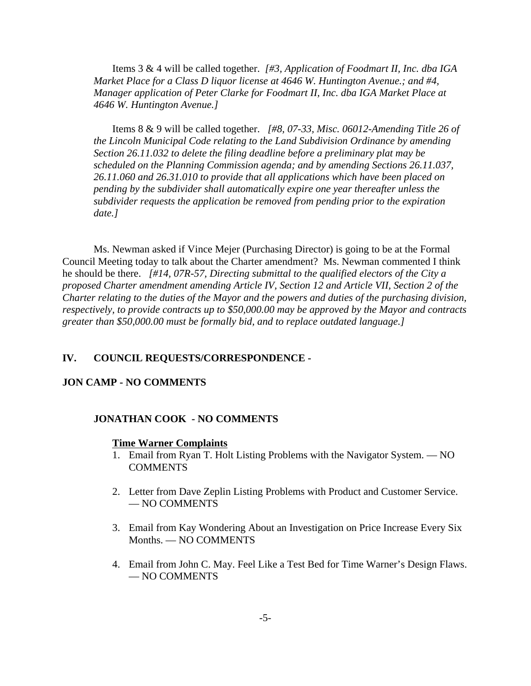Items 3 & 4 will be called together. *[#3, Application of Foodmart II, Inc. dba IGA Market Place for a Class D liquor license at 4646 W. Huntington Avenue.; and #4, Manager application of Peter Clarke for Foodmart II, Inc. dba IGA Market Place at 4646 W. Huntington Avenue.]*

Items 8 & 9 will be called together. *[#8, 07-33, Misc. 06012-Amending Title 26 of the Lincoln Municipal Code relating to the Land Subdivision Ordinance by amending Section 26.11.032 to delete the filing deadline before a preliminary plat may be scheduled on the Planning Commission agenda; and by amending Sections 26.11.037, 26.11.060 and 26.31.010 to provide that all applications which have been placed on pending by the subdivider shall automatically expire one year thereafter unless the subdivider requests the application be removed from pending prior to the expiration date.]* 

Ms. Newman asked if Vince Mejer (Purchasing Director) is going to be at the Formal Council Meeting today to talk about the Charter amendment? Ms. Newman commented I think he should be there. *[#14, 07R-57, Directing submittal to the qualified electors of the City a proposed Charter amendment amending Article IV, Section 12 and Article VII, Section 2 of the Charter relating to the duties of the Mayor and the powers and duties of the purchasing division, respectively, to provide contracts up to \$50,000.00 may be approved by the Mayor and contracts greater than \$50,000.00 must be formally bid, and to replace outdated language.]* 

#### **IV. COUNCIL REQUESTS/CORRESPONDENCE -**

#### **JON CAMP - NO COMMENTS**

#### **JONATHAN COOK - NO COMMENTS**

#### **Time Warner Complaints**

- 1. Email from Ryan T. Holt Listing Problems with the Navigator System. NO COMMENTS
- 2. Letter from Dave Zeplin Listing Problems with Product and Customer Service. — NO COMMENTS
- 3. Email from Kay Wondering About an Investigation on Price Increase Every Six Months. — NO COMMENTS
- 4. Email from John C. May. Feel Like a Test Bed for Time Warner's Design Flaws. — NO COMMENTS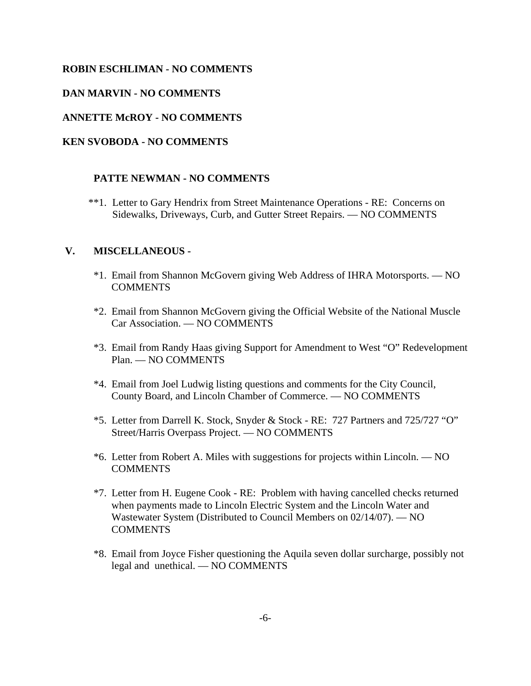#### **ROBIN ESCHLIMAN - NO COMMENTS**

#### **DAN MARVIN - NO COMMENTS**

#### **ANNETTE McROY - NO COMMENTS**

#### **KEN SVOBODA - NO COMMENTS**

#### **PATTE NEWMAN - NO COMMENTS**

 \*\*1. Letter to Gary Hendrix from Street Maintenance Operations - RE: Concerns on Sidewalks, Driveways, Curb, and Gutter Street Repairs. — NO COMMENTS

#### **V. MISCELLANEOUS -**

- \*1. Email from Shannon McGovern giving Web Address of IHRA Motorsports. NO **COMMENTS**
- \*2. Email from Shannon McGovern giving the Official Website of the National Muscle Car Association. — NO COMMENTS
- \*3. Email from Randy Haas giving Support for Amendment to West "O" Redevelopment Plan. — NO COMMENTS
- \*4. Email from Joel Ludwig listing questions and comments for the City Council, County Board, and Lincoln Chamber of Commerce. — NO COMMENTS
- \*5. Letter from Darrell K. Stock, Snyder & Stock RE: 727 Partners and 725/727 "O" Street/Harris Overpass Project. — NO COMMENTS
- \*6. Letter from Robert A. Miles with suggestions for projects within Lincoln. NO COMMENTS
- \*7. Letter from H. Eugene Cook RE: Problem with having cancelled checks returned when payments made to Lincoln Electric System and the Lincoln Water and Wastewater System (Distributed to Council Members on 02/14/07). — NO **COMMENTS**
- \*8. Email from Joyce Fisher questioning the Aquila seven dollar surcharge, possibly not legal and unethical. — NO COMMENTS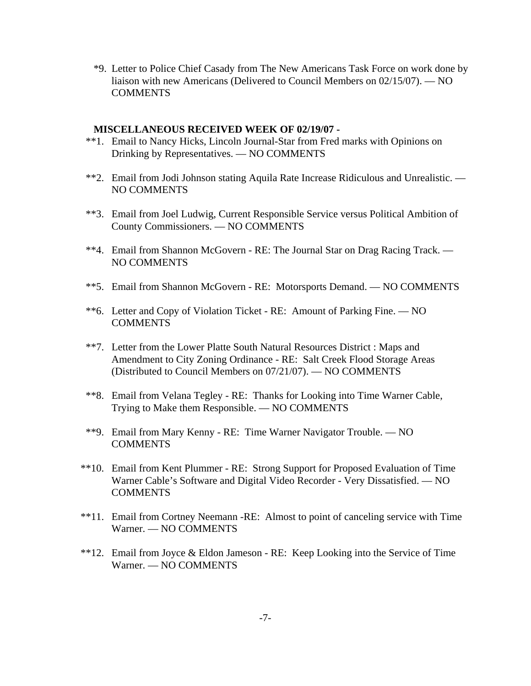\*9. Letter to Police Chief Casady from The New Americans Task Force on work done by liaison with new Americans (Delivered to Council Members on 02/15/07). — NO **COMMENTS** 

#### **MISCELLANEOUS RECEIVED WEEK OF 02/19/07 -**

- \*\*1. Email to Nancy Hicks, Lincoln Journal-Star from Fred marks with Opinions on Drinking by Representatives. — NO COMMENTS
- \*\*2. Email from Jodi Johnson stating Aquila Rate Increase Ridiculous and Unrealistic. NO COMMENTS
- \*\*3. Email from Joel Ludwig, Current Responsible Service versus Political Ambition of County Commissioners. — NO COMMENTS
- \*\*4. Email from Shannon McGovern RE: The Journal Star on Drag Racing Track. NO COMMENTS
- \*\*5. Email from Shannon McGovern RE: Motorsports Demand. NO COMMENTS
- \*\*6. Letter and Copy of Violation Ticket RE: Amount of Parking Fine. NO COMMENTS
- \*\*7. Letter from the Lower Platte South Natural Resources District : Maps and Amendment to City Zoning Ordinance - RE: Salt Creek Flood Storage Areas (Distributed to Council Members on 07/21/07). — NO COMMENTS
- \*\*8. Email from Velana Tegley RE: Thanks for Looking into Time Warner Cable, Trying to Make them Responsible. — NO COMMENTS
- \*\*9. Email from Mary Kenny RE: Time Warner Navigator Trouble. NO **COMMENTS**
- \*\*10. Email from Kent Plummer RE: Strong Support for Proposed Evaluation of Time Warner Cable's Software and Digital Video Recorder - Very Dissatisfied. — NO **COMMENTS**
- \*\*11. Email from Cortney Neemann -RE: Almost to point of canceling service with Time Warner. — NO COMMENTS
- \*\*12. Email from Joyce & Eldon Jameson RE: Keep Looking into the Service of Time Warner. — NO COMMENTS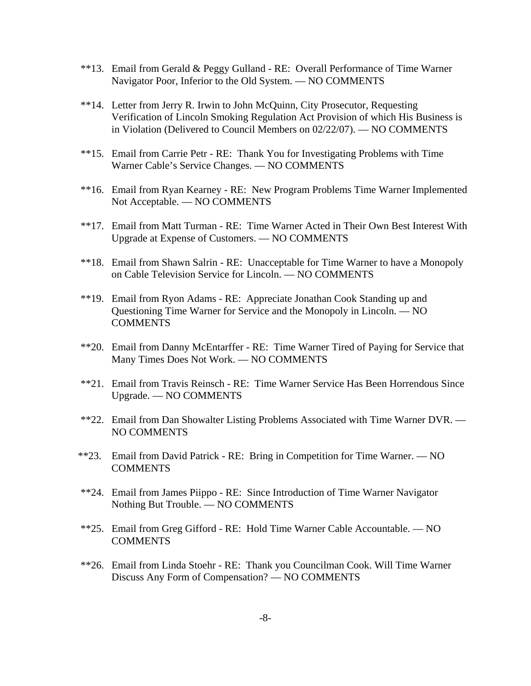- \*\*13. Email from Gerald & Peggy Gulland RE: Overall Performance of Time Warner Navigator Poor, Inferior to the Old System. — NO COMMENTS
- \*\*14. Letter from Jerry R. Irwin to John McQuinn, City Prosecutor, Requesting Verification of Lincoln Smoking Regulation Act Provision of which His Business is in Violation (Delivered to Council Members on 02/22/07). — NO COMMENTS
- \*\*15. Email from Carrie Petr RE: Thank You for Investigating Problems with Time Warner Cable's Service Changes. — NO COMMENTS
- \*\*16. Email from Ryan Kearney RE: New Program Problems Time Warner Implemented Not Acceptable. — NO COMMENTS
- \*\*17. Email from Matt Turman RE: Time Warner Acted in Their Own Best Interest With Upgrade at Expense of Customers. — NO COMMENTS
- \*\*18. Email from Shawn Salrin RE: Unacceptable for Time Warner to have a Monopoly on Cable Television Service for Lincoln. — NO COMMENTS
- \*\*19. Email from Ryon Adams RE: Appreciate Jonathan Cook Standing up and Questioning Time Warner for Service and the Monopoly in Lincoln. — NO **COMMENTS**
- \*\*20. Email from Danny McEntarffer RE: Time Warner Tired of Paying for Service that Many Times Does Not Work. — NO COMMENTS
- \*\*21. Email from Travis Reinsch RE: Time Warner Service Has Been Horrendous Since Upgrade. — NO COMMENTS
- \*\*22. Email from Dan Showalter Listing Problems Associated with Time Warner DVR. NO COMMENTS
- \*\*23. Email from David Patrick RE: Bring in Competition for Time Warner. NO COMMENTS
- \*\*24. Email from James Piippo RE: Since Introduction of Time Warner Navigator Nothing But Trouble. — NO COMMENTS
- \*\*25. Email from Greg Gifford RE: Hold Time Warner Cable Accountable. NO COMMENTS
- \*\*26. Email from Linda Stoehr RE: Thank you Councilman Cook. Will Time Warner Discuss Any Form of Compensation? — NO COMMENTS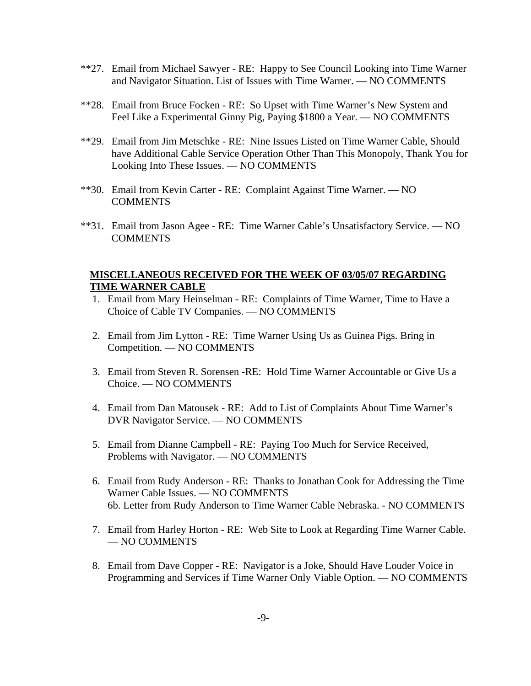- \*\*27. Email from Michael Sawyer RE: Happy to See Council Looking into Time Warner and Navigator Situation. List of Issues with Time Warner. — NO COMMENTS
- \*\*28. Email from Bruce Focken RE: So Upset with Time Warner's New System and Feel Like a Experimental Ginny Pig, Paying \$1800 a Year. — NO COMMENTS
- \*\*29. Email from Jim Metschke RE: Nine Issues Listed on Time Warner Cable, Should have Additional Cable Service Operation Other Than This Monopoly, Thank You for Looking Into These Issues. — NO COMMENTS
- \*\*30. Email from Kevin Carter RE: Complaint Against Time Warner. NO COMMENTS
- \*\*31. Email from Jason Agee RE: Time Warner Cable's Unsatisfactory Service. NO COMMENTS

### **MISCELLANEOUS RECEIVED FOR THE WEEK OF 03/05/07 REGARDING TIME WARNER CABLE**

- 1. Email from Mary Heinselman RE: Complaints of Time Warner, Time to Have a Choice of Cable TV Companies. — NO COMMENTS
- 2. Email from Jim Lytton RE: Time Warner Using Us as Guinea Pigs. Bring in Competition. — NO COMMENTS
- 3. Email from Steven R. Sorensen -RE: Hold Time Warner Accountable or Give Us a Choice. — NO COMMENTS
- 4. Email from Dan Matousek RE: Add to List of Complaints About Time Warner's DVR Navigator Service. — NO COMMENTS
- 5. Email from Dianne Campbell RE: Paying Too Much for Service Received, Problems with Navigator. — NO COMMENTS
- 6. Email from Rudy Anderson RE: Thanks to Jonathan Cook for Addressing the Time Warner Cable Issues. — NO COMMENTS 6b. Letter from Rudy Anderson to Time Warner Cable Nebraska. - NO COMMENTS
- 7. Email from Harley Horton RE: Web Site to Look at Regarding Time Warner Cable. — NO COMMENTS
- 8. Email from Dave Copper RE: Navigator is a Joke, Should Have Louder Voice in Programming and Services if Time Warner Only Viable Option. — NO COMMENTS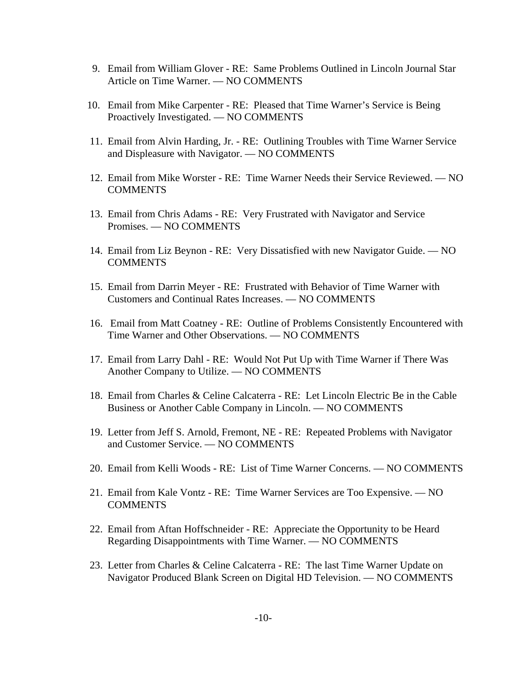- 9. Email from William Glover RE: Same Problems Outlined in Lincoln Journal Star Article on Time Warner. — NO COMMENTS
- 10. Email from Mike Carpenter RE: Pleased that Time Warner's Service is Being Proactively Investigated. — NO COMMENTS
- 11. Email from Alvin Harding, Jr. RE: Outlining Troubles with Time Warner Service and Displeasure with Navigator. — NO COMMENTS
- 12. Email from Mike Worster RE: Time Warner Needs their Service Reviewed. NO COMMENTS
- 13. Email from Chris Adams RE: Very Frustrated with Navigator and Service Promises. — NO COMMENTS
- 14. Email from Liz Beynon RE: Very Dissatisfied with new Navigator Guide. NO **COMMENTS**
- 15. Email from Darrin Meyer RE: Frustrated with Behavior of Time Warner with Customers and Continual Rates Increases. — NO COMMENTS
- 16. Email from Matt Coatney RE: Outline of Problems Consistently Encountered with Time Warner and Other Observations. — NO COMMENTS
- 17. Email from Larry Dahl RE: Would Not Put Up with Time Warner if There Was Another Company to Utilize. — NO COMMENTS
- 18. Email from Charles & Celine Calcaterra RE: Let Lincoln Electric Be in the Cable Business or Another Cable Company in Lincoln. — NO COMMENTS
- 19. Letter from Jeff S. Arnold, Fremont, NE RE: Repeated Problems with Navigator and Customer Service. — NO COMMENTS
- 20. Email from Kelli Woods RE: List of Time Warner Concerns. NO COMMENTS
- 21. Email from Kale Vontz RE: Time Warner Services are Too Expensive. NO COMMENTS
- 22. Email from Aftan Hoffschneider RE: Appreciate the Opportunity to be Heard Regarding Disappointments with Time Warner. — NO COMMENTS
- 23. Letter from Charles & Celine Calcaterra RE: The last Time Warner Update on Navigator Produced Blank Screen on Digital HD Television. — NO COMMENTS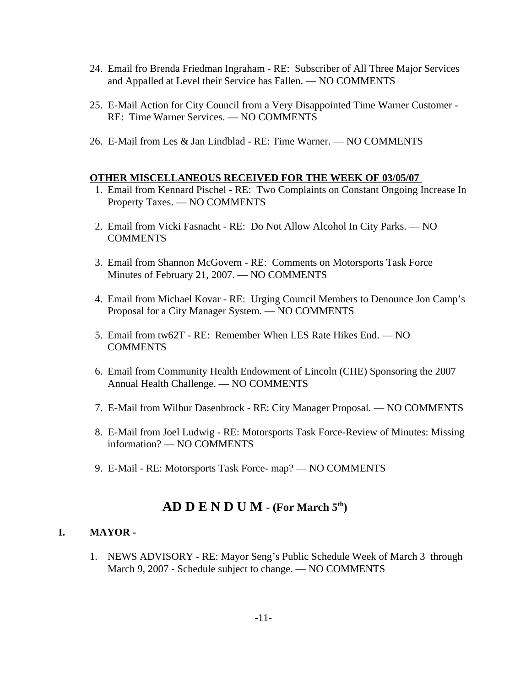- 24. Email fro Brenda Friedman Ingraham RE: Subscriber of All Three Major Services and Appalled at Level their Service has Fallen. — NO COMMENTS
- 25. E-Mail Action for City Council from a Very Disappointed Time Warner Customer RE: Time Warner Services. — NO COMMENTS
- 26. E-Mail from Les & Jan Lindblad RE: Time Warner. NO COMMENTS

#### **OTHER MISCELLANEOUS RECEIVED FOR THE WEEK OF 03/05/07**

- 1. Email from Kennard Pischel RE: Two Complaints on Constant Ongoing Increase In Property Taxes. — NO COMMENTS
- 2. Email from Vicki Fasnacht RE: Do Not Allow Alcohol In City Parks. NO **COMMENTS**
- 3. Email from Shannon McGovern RE: Comments on Motorsports Task Force Minutes of February 21, 2007. — NO COMMENTS
- 4. Email from Michael Kovar RE: Urging Council Members to Denounce Jon Camp's Proposal for a City Manager System. — NO COMMENTS
- 5. Email from tw62T RE: Remember When LES Rate Hikes End. NO COMMENTS
- 6. Email from Community Health Endowment of Lincoln (CHE) Sponsoring the 2007 Annual Health Challenge. — NO COMMENTS
- 7. E-Mail from Wilbur Dasenbrock RE: City Manager Proposal. NO COMMENTS
- 8. E-Mail from Joel Ludwig RE: Motorsports Task Force-Review of Minutes: Missing information? — NO COMMENTS
- 9. E-Mail RE: Motorsports Task Force- map? NO COMMENTS

# **AD D E N D U M - (For March 5th)**

#### **I. MAYOR -**

1. NEWS ADVISORY - RE: Mayor Seng's Public Schedule Week of March 3 through March 9, 2007 - Schedule subject to change. — NO COMMENTS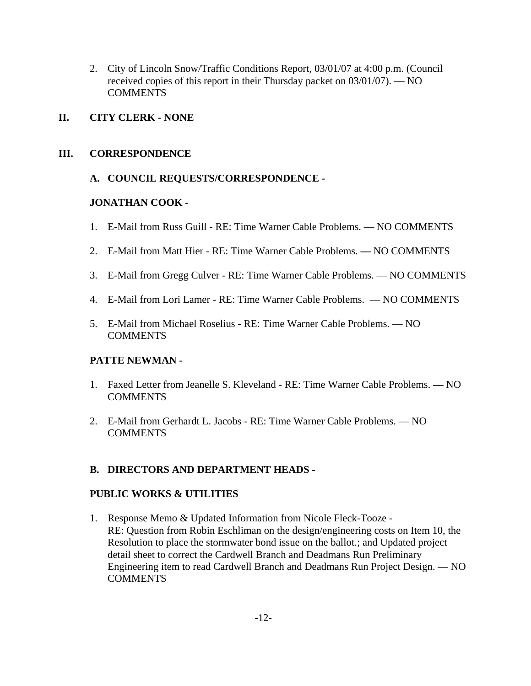2. City of Lincoln Snow/Traffic Conditions Report, 03/01/07 at 4:00 p.m. (Council received copies of this report in their Thursday packet on 03/01/07). — NO **COMMENTS** 

# **II. CITY CLERK - NONE**

# **III. CORRESPONDENCE**

# **A. COUNCIL REQUESTS/CORRESPONDENCE -**

# **JONATHAN COOK -**

- 1. E-Mail from Russ Guill RE: Time Warner Cable Problems. NO COMMENTS
- 2. E-Mail from Matt Hier RE: Time Warner Cable Problems. NO COMMENTS
- 3. E-Mail from Gregg Culver RE: Time Warner Cable Problems. NO COMMENTS
- 4. E-Mail from Lori Lamer RE: Time Warner Cable Problems. NO COMMENTS
- 5. E-Mail from Michael Roselius RE: Time Warner Cable Problems. NO COMMENTS

### **PATTE NEWMAN -**

- 1. Faxed Letter from Jeanelle S. Kleveland RE: Time Warner Cable Problems.NO **COMMENTS**
- 2. E-Mail from Gerhardt L. Jacobs RE: Time Warner Cable Problems. NO **COMMENTS**

# **B. DIRECTORS AND DEPARTMENT HEADS -**

### **PUBLIC WORKS & UTILITIES**

1. Response Memo & Updated Information from Nicole Fleck-Tooze - RE: Question from Robin Eschliman on the design/engineering costs on Item 10, the Resolution to place the stormwater bond issue on the ballot.; and Updated project detail sheet to correct the Cardwell Branch and Deadmans Run Preliminary Engineering item to read Cardwell Branch and Deadmans Run Project Design. — NO **COMMENTS**